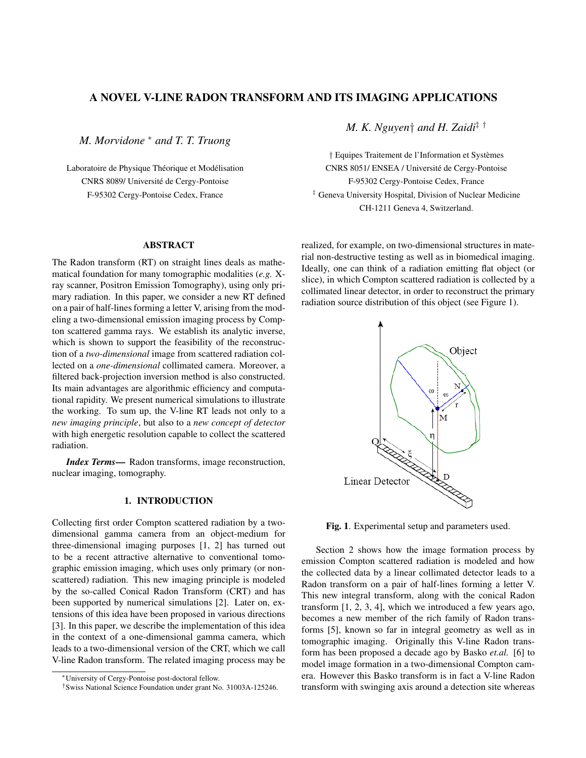# A NOVEL V-LINE RADON TRANSFORM AND ITS IMAGING APPLICATIONS

*M. Morvidone* <sup>∗</sup> *and T. T. Truong*

Laboratoire de Physique Théorique et Modélisation CNRS 8089/ Universite de Cergy-Pontoise ´ F-95302 Cergy-Pontoise Cedex, France

## ABSTRACT

The Radon transform (RT) on straight lines deals as mathematical foundation for many tomographic modalities (*e.g.* Xray scanner, Positron Emission Tomography), using only primary radiation. In this paper, we consider a new RT defined on a pair of half-lines forming a letter V, arising from the modeling a two-dimensional emission imaging process by Compton scattered gamma rays. We establish its analytic inverse, which is shown to support the feasibility of the reconstruction of a *two-dimensional* image from scattered radiation collected on a *one-dimensional* collimated camera. Moreover, a filtered back-projection inversion method is also constructed. Its main advantages are algorithmic efficiency and computational rapidity. We present numerical simulations to illustrate the working. To sum up, the V-line RT leads not only to a *new imaging principle*, but also to a *new concept of detector* with high energetic resolution capable to collect the scattered radiation.

*Index Terms*— Radon transforms, image reconstruction, nuclear imaging, tomography.

# 1. INTRODUCTION

Collecting first order Compton scattered radiation by a twodimensional gamma camera from an object-medium for three-dimensional imaging purposes [1, 2] has turned out to be a recent attractive alternative to conventional tomographic emission imaging, which uses only primary (or nonscattered) radiation. This new imaging principle is modeled by the so-called Conical Radon Transform (CRT) and has been supported by numerical simulations [2]. Later on, extensions of this idea have been proposed in various directions [3]. In this paper, we describe the implementation of this idea in the context of a one-dimensional gamma camera, which leads to a two-dimensional version of the CRT, which we call V-line Radon transform. The related imaging process may be *M. K. Nguyen*† *and H. Zaidi*‡ †

† Equipes Traitement de l'Information et Systemes ` CNRS 8051/ ENSEA / Universite de Cergy-Pontoise ´ F-95302 Cergy-Pontoise Cedex, France ‡ Geneva University Hospital, Division of Nuclear Medicine CH-1211 Geneva 4, Switzerland.

realized, for example, on two-dimensional structures in material non-destructive testing as well as in biomedical imaging. Ideally, one can think of a radiation emitting flat object (or slice), in which Compton scattered radiation is collected by a collimated linear detector, in order to reconstruct the primary radiation source distribution of this object (see Figure 1).



Fig. 1. Experimental setup and parameters used.

Section 2 shows how the image formation process by emission Compton scattered radiation is modeled and how the collected data by a linear collimated detector leads to a Radon transform on a pair of half-lines forming a letter V. This new integral transform, along with the conical Radon transform [1, 2, 3, 4], which we introduced a few years ago, becomes a new member of the rich family of Radon transforms [5], known so far in integral geometry as well as in tomographic imaging. Originally this V-line Radon transform has been proposed a decade ago by Basko *et.al.* [6] to model image formation in a two-dimensional Compton camera. However this Basko transform is in fact a V-line Radon transform with swinging axis around a detection site whereas

<sup>∗</sup>University of Cergy-Pontoise post-doctoral fellow.

<sup>†</sup>Swiss National Science Foundation under grant No. 31003A-125246.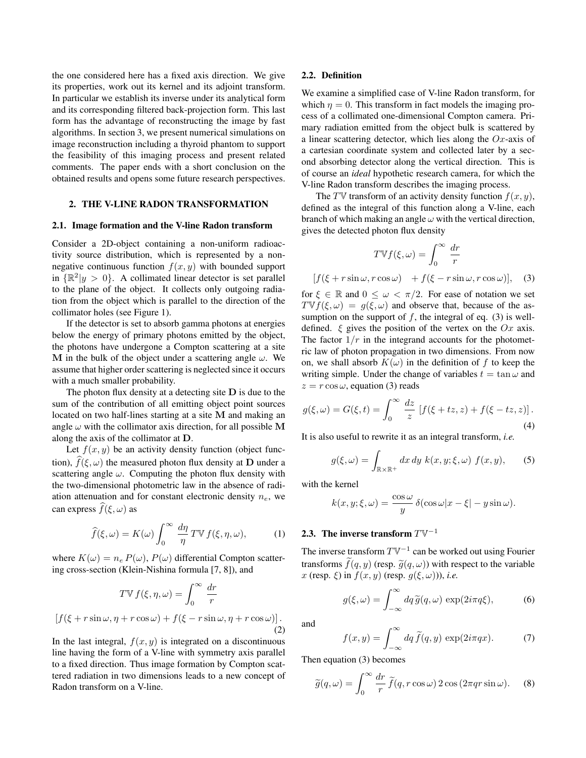the one considered here has a fixed axis direction. We give its properties, work out its kernel and its adjoint transform. In particular we establish its inverse under its analytical form and its corresponding filtered back-projection form. This last form has the advantage of reconstructing the image by fast algorithms. In section 3, we present numerical simulations on image reconstruction including a thyroid phantom to support the feasibility of this imaging process and present related comments. The paper ends with a short conclusion on the obtained results and opens some future research perspectives.

## 2. THE V-LINE RADON TRANSFORMATION

### 2.1. Image formation and the V-line Radon transform

Consider a 2D-object containing a non-uniform radioactivity source distribution, which is represented by a nonnegative continuous function  $f(x, y)$  with bounded support in  $\{\mathbb{R}^2 | y > 0\}$ . A collimated linear detector is set parallel to the plane of the object. It collects only outgoing radiation from the object which is parallel to the direction of the collimator holes (see Figure 1).

If the detector is set to absorb gamma photons at energies below the energy of primary photons emitted by the object, the photons have undergone a Compton scattering at a site M in the bulk of the object under a scattering angle  $\omega$ . We assume that higher order scattering is neglected since it occurs with a much smaller probability.

The photon flux density at a detecting site  **is due to the** sum of the contribution of all emitting object point sources located on two half-lines starting at a site M and making an angle  $\omega$  with the collimator axis direction, for all possible M along the axis of the collimator at D.

Let  $f(x, y)$  be an activity density function (object function),  $f(\xi, \omega)$  the measured photon flux density at D under a scattering angle  $\omega$ . Computing the photon flux density with the two-dimensional photometric law in the absence of radiation attenuation and for constant electronic density  $n_e$ , we can express  $\widehat{f}(\xi, \omega)$  as

$$
\widehat{f}(\xi,\omega) = K(\omega) \int_0^\infty \frac{d\eta}{\eta} \, T \mathbb{V} \, f(\xi,\eta,\omega),\tag{1}
$$

where  $K(\omega) = n_e P(\omega)$ ,  $P(\omega)$  differential Compton scattering cross-section (Klein-Nishina formula [7, 8]), and

$$
T \nabla f(\xi, \eta, \omega) = \int_0^\infty \frac{dr}{r}
$$
  

$$
[f(\xi + r \sin \omega, \eta + r \cos \omega) + f(\xi - r \sin \omega, \eta + r \cos \omega)].
$$
  
(2)

In the last integral,  $f(x, y)$  is integrated on a discontinuous line having the form of a V-line with symmetry axis parallel to a fixed direction. Thus image formation by Compton scattered radiation in two dimensions leads to a new concept of Radon transform on a V-line.

### 2.2. Definition

We examine a simplified case of V-line Radon transform, for which  $\eta = 0$ . This transform in fact models the imaging process of a collimated one-dimensional Compton camera. Primary radiation emitted from the object bulk is scattered by a linear scattering detector, which lies along the  $Ox$ -axis of a cartesian coordinate system and collected later by a second absorbing detector along the vertical direction. This is of course an *ideal* hypothetic research camera, for which the V-line Radon transform describes the imaging process.

The TV transform of an activity density function  $f(x, y)$ , defined as the integral of this function along a V-line, each branch of which making an angle  $\omega$  with the vertical direction, gives the detected photon flux density

$$
T\mathbb{V}f(\xi,\omega) = \int_0^\infty \frac{dr}{r}
$$

 $[f(\xi + r\sin\omega, r\cos\omega) + f(\xi - r\sin\omega, r\cos\omega)],$  (3)

for  $\xi \in \mathbb{R}$  and  $0 \leq \omega < \pi/2$ . For ease of notation we set  $T\mathbb{V}f(\xi,\omega) = g(\xi,\omega)$  and observe that, because of the assumption on the support of  $f$ , the integral of eq. (3) is welldefined.  $\xi$  gives the position of the vertex on the  $Ox$  axis. The factor  $1/r$  in the integrand accounts for the photometric law of photon propagation in two dimensions. From now on, we shall absorb  $K(\omega)$  in the definition of f to keep the writing simple. Under the change of variables  $t = \tan \omega$  and  $z = r \cos \omega$ , equation (3) reads

$$
g(\xi, \omega) = G(\xi, t) = \int_0^\infty \frac{dz}{z} [f(\xi + tz, z) + f(\xi - tz, z)].
$$
\n(4)

It is also useful to rewrite it as an integral transform, *i.e.*

$$
g(\xi,\omega) = \int_{\mathbb{R}\times\mathbb{R}^+} dx\,dy\,k(x,y;\xi,\omega)\,f(x,y),\qquad(5)
$$

with the kernel

$$
k(x, y; \xi, \omega) = \frac{\cos \omega}{y} \delta(\cos \omega |x - \xi| - y \sin \omega).
$$

# 2.3. The inverse transform  $T\mathbb{V}^{-1}$

The inverse transform  $T\mathbb{V}^{-1}$  can be worked out using Fourier transforms  $\tilde{f}(q, y)$  (resp.  $\tilde{g}(q, \omega)$ ) with respect to the variable x (resp.  $\xi$ ) in  $f(x, y)$  (resp.  $g(\xi, \omega)$ )), *i.e.* 

$$
g(\xi,\omega) = \int_{-\infty}^{\infty} dq \, \widetilde{g}(q,\omega) \, \exp(2i\pi q \xi), \tag{6}
$$

and

$$
f(x,y) = \int_{-\infty}^{\infty} dq \, \tilde{f}(q,y) \, \exp(2i\pi qx). \tag{7}
$$

Then equation (3) becomes

$$
\widetilde{g}(q,\omega) = \int_0^\infty \frac{dr}{r} \,\widetilde{f}(q, r\cos\omega) \, 2\cos\left(2\pi q r \sin\omega\right). \tag{8}
$$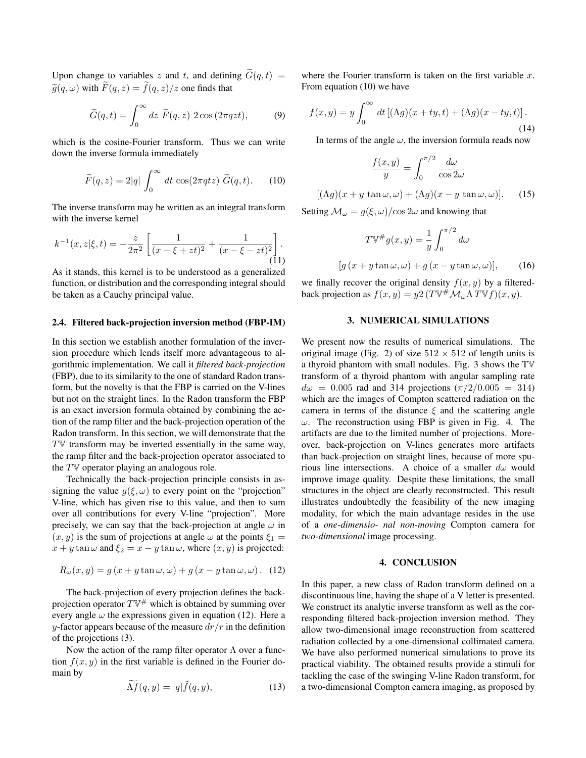Upon change to variables z and t, and defining  $\widetilde{G}(q, t) =$  $\widetilde{g}(q,\omega)$  with  $\widetilde{F}(q,z) = \widetilde{f}(q,z)/z$  one finds that

$$
\widetilde{G}(q,t) = \int_0^\infty dz \ \widetilde{F}(q,z) \ 2\cos(2\pi qzt), \tag{9}
$$

which is the cosine-Fourier transform. Thus we can write down the inverse formula immediately

$$
\widetilde{F}(q,z) = 2|q| \int_0^\infty dt \, \cos(2\pi q t z) \, \widetilde{G}(q,t). \tag{10}
$$

The inverse transform may be written as an integral transform with the inverse kernel

$$
k^{-1}(x, z | \xi, t) = -\frac{z}{2\pi^2} \left[ \frac{1}{(x - \xi + zt)^2} + \frac{1}{(x - \xi - zt)^2} \right].
$$
\n(11)

As it stands, this kernel is to be understood as a generalized function, or distribution and the corresponding integral should be taken as a Cauchy principal value.

#### 2.4. Filtered back-projection inversion method (FBP-IM)

In this section we establish another formulation of the inversion procedure which lends itself more advantageous to algorithmic implementation. We call it *filtered back-projection* (FBP), due to its similarity to the one of standard Radon transform, but the novelty is that the FBP is carried on the V-lines but not on the straight lines. In the Radon transform the FBP is an exact inversion formula obtained by combining the action of the ramp filter and the back-projection operation of the Radon transform. In this section, we will demonstrate that the  $T<sup>W</sup>$  transform may be inverted essentially in the same way, the ramp filter and the back-projection operator associated to the  $T\mathbb{V}$  operator playing an analogous role.

Technically the back-projection principle consists in assigning the value  $g(\xi, \omega)$  to every point on the "projection" V-line, which has given rise to this value, and then to sum over all contributions for every V-line "projection". More precisely, we can say that the back-projection at angle  $\omega$  in  $(x, y)$  is the sum of projections at angle  $\omega$  at the points  $\xi_1 =$  $x + y \tan \omega$  and  $\xi_2 = x - y \tan \omega$ , where  $(x, y)$  is projected:

$$
R_{\omega}(x, y) = g(x + y \tan \omega, \omega) + g(x - y \tan \omega, \omega).
$$
 (12)

The back-projection of every projection defines the backprojection operator  $T\mathbb{V}^{\#}$  which is obtained by summing over every angle  $\omega$  the expressions given in equation (12). Here a y-factor appears because of the measure  $dr/r$  in the definition of the projections (3).

Now the action of the ramp filter operator  $\Lambda$  over a function  $f(x, y)$  in the first variable is defined in the Fourier domain by

$$
\widetilde{\Lambda f}(q, y) = |q|\widetilde{f}(q, y), \qquad (13)
$$

where the Fourier transform is taken on the first variable  $x$ . From equation (10) we have

$$
f(x,y) = y \int_0^\infty dt \left[ (\Lambda g)(x+ty,t) + (\Lambda g)(x-ty,t) \right].
$$
\n(14)

In terms of the angle  $\omega$ , the inversion formula reads now

$$
\frac{f(x,y)}{y} = \int_0^{\pi/2} \frac{d\omega}{\cos 2\omega}
$$

$$
[(\Lambda g)(x + y \tan \omega, \omega) + (\Lambda g)(x - y \tan \omega, \omega)].
$$
(15)

Setting  $\mathcal{M}_{\omega} = g(\xi, \omega) / \cos 2\omega$  and knowing that

$$
T\mathbb{V}^{\#}g(x,y) = \frac{1}{y} \int_0^{\pi/2} d\omega
$$
  
[g(x + y \tan \omega, \omega) + g(x - y \tan \omega, \omega)], (16)

we finally recover the original density  $f(x, y)$  by a filteredback projection as  $f(x, y) = y2 (T \nabla^{\#} \mathcal{M}_{\omega} \Lambda T \nabla f)(x, y)$ .

# 3. NUMERICAL SIMULATIONS

We present now the results of numerical simulations. The original image (Fig. 2) of size  $512 \times 512$  of length units is a thyroid phantom with small nodules. Fig. 3 shows the TV transform of a thyroid phantom with angular sampling rate  $d\omega = 0.005$  rad and 314 projections  $(\pi/2/0.005 = 314)$ which are the images of Compton scattered radiation on the camera in terms of the distance  $\xi$  and the scattering angle  $\omega$ . The reconstruction using FBP is given in Fig. 4. The artifacts are due to the limited number of projections. Moreover, back-projection on V-lines generates more artifacts than back-projection on straight lines, because of more spurious line intersections. A choice of a smaller  $d\omega$  would improve image quality. Despite these limitations, the small structures in the object are clearly reconstructed. This result illustrates undoubtedly the feasibility of the new imaging modality, for which the main advantage resides in the use of a *one-dimensio- nal non-moving* Compton camera for *two-dimensional* image processing.

# 4. CONCLUSION

In this paper, a new class of Radon transform defined on a discontinuous line, having the shape of a V letter is presented. We construct its analytic inverse transform as well as the corresponding filtered back-projection inversion method. They allow two-dimensional image reconstruction from scattered radiation collected by a one-dimensional collimated camera. We have also performed numerical simulations to prove its practical viability. The obtained results provide a stimuli for tackling the case of the swinging V-line Radon transform, for a two-dimensional Compton camera imaging, as proposed by